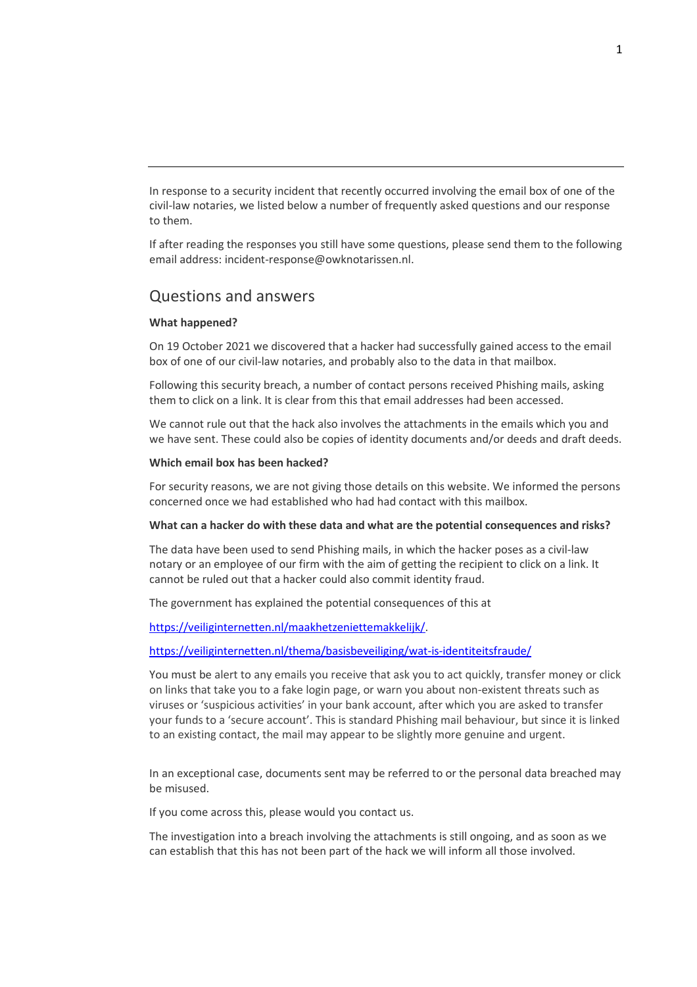In response to a security incident that recently occurred involving the email box of one of the civil-law notaries, we listed below a number of frequently asked questions and our response to them.

If after reading the responses you still have some questions, please send them to the following email address: incident-response@owknotarissen.nl.

# Questions and answers

## **What happened?**

On 19 October 2021 we discovered that a hacker had successfully gained access to the email box of one of our civil-law notaries, and probably also to the data in that mailbox.

Following this security breach, a number of contact persons received Phishing mails, asking them to click on a link. It is clear from this that email addresses had been accessed.

We cannot rule out that the hack also involves the attachments in the emails which you and we have sent. These could also be copies of identity documents and/or deeds and draft deeds.

### **Which email box has been hacked?**

For security reasons, we are not giving those details on this website. We informed the persons concerned once we had established who had had contact with this mailbox.

### **What can a hacker do with these data and what are the potential consequences and risks?**

The data have been used to send Phishing mails, in which the hacker poses as a civil-law notary or an employee of our firm with the aim of getting the recipient to click on a link. It cannot be ruled out that a hacker could also commit identity fraud.

The government has explained the potential consequences of this at

https://veiliginternetten.nl/maakhetzeniettemakkelijk/.

## https://veiliginternetten.nl/thema/basisbeveiliging/wat-is-identiteitsfraude/

You must be alert to any emails you receive that ask you to act quickly, transfer money or click on links that take you to a fake login page, or warn you about non-existent threats such as viruses or 'suspicious activities' in your bank account, after which you are asked to transfer your funds to a 'secure account'. This is standard Phishing mail behaviour, but since it is linked to an existing contact, the mail may appear to be slightly more genuine and urgent.

In an exceptional case, documents sent may be referred to or the personal data breached may be misused.

If you come across this, please would you contact us.

The investigation into a breach involving the attachments is still ongoing, and as soon as we can establish that this has not been part of the hack we will inform all those involved.